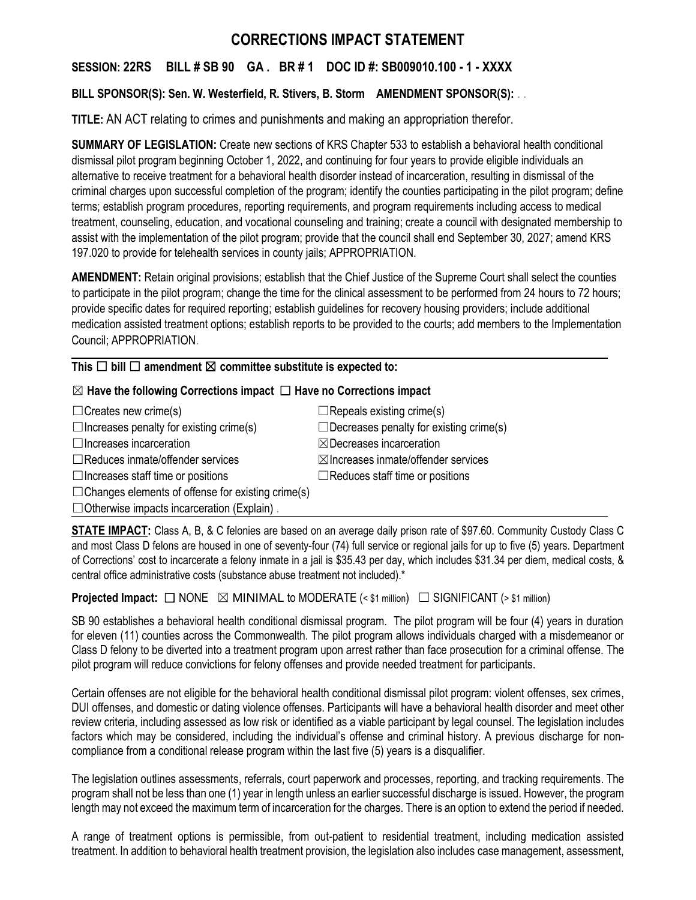# **CORRECTIONS IMPACT STATEMENT**

# **SESSION: 22RS BILL # SB 90 GA . BR # 1 DOC ID #: SB009010.100 - 1 - XXXX**

## **BILL SPONSOR(S): Sen. W. Westerfield, R. Stivers, B. Storm AMENDMENT SPONSOR(S):** . .

**TITLE:** AN ACT relating to crimes and punishments and making an appropriation therefor.

**SUMMARY OF LEGISLATION:** Create new sections of KRS Chapter 533 to establish a behavioral health conditional dismissal pilot program beginning October 1, 2022, and continuing for four years to provide eligible individuals an alternative to receive treatment for a behavioral health disorder instead of incarceration, resulting in dismissal of the criminal charges upon successful completion of the program; identify the counties participating in the pilot program; define terms; establish program procedures, reporting requirements, and program requirements including access to medical treatment, counseling, education, and vocational counseling and training; create a council with designated membership to assist with the implementation of the pilot program; provide that the council shall end September 30, 2027; amend KRS 197.020 to provide for telehealth services in county jails; APPROPRIATION.

**AMENDMENT:** Retain original provisions; establish that the Chief Justice of the Supreme Court shall select the counties to participate in the pilot program; change the time for the clinical assessment to be performed from 24 hours to 72 hours; provide specific dates for required reporting; establish guidelines for recovery housing providers; include additional medication assisted treatment options; establish reports to be provided to the courts; add members to the Implementation Council; APPROPRIATION.

## **This** ☐ **bill** ☐ **amendment** ☒ **committee substitute is expected to:**

## ☒ **Have the following Corrections impact** ☐ **Have no Corrections impact**

 $\Box$ Creates new crime(s)  $\Box$ Repeals existing crime(s)  $\Box$ Increases penalty for existing crime(s)  $\Box$ Decreases penalty for existing crime(s) ☐Increases incarceration ☒Decreases incarceration ☐Reduces inmate/offender services ☒Increases inmate/offender services ☐Increases staff time or positions ☐Reduces staff time or positions  $\Box$ Changes elements of offense for existing crime(s)

 $\Box$  Otherwise impacts incarceration (Explain).

**STATE IMPACT:** Class A, B, & C felonies are based on an average daily prison rate of \$97.60. Community Custody Class C and most Class D felons are housed in one of seventy-four (74) full service or regional jails for up to five (5) years. Department of Corrections' cost to incarcerate a felony inmate in a jail is \$35.43 per day, which includes \$31.34 per diem, medical costs, & central office administrative costs (substance abuse treatment not included).\*

**Projected Impact:**  $\Box$  NONE  $\boxtimes$  MINIMAL to MODERATE (< \$1 million)  $\Box$  SIGNIFICANT (> \$1 million)

SB 90 establishes a behavioral health conditional dismissal program. The pilot program will be four (4) years in duration for eleven (11) counties across the Commonwealth. The pilot program allows individuals charged with a misdemeanor or Class D felony to be diverted into a treatment program upon arrest rather than face prosecution for a criminal offense. The pilot program will reduce convictions for felony offenses and provide needed treatment for participants.

Certain offenses are not eligible for the behavioral health conditional dismissal pilot program: violent offenses, sex crimes, DUI offenses, and domestic or dating violence offenses. Participants will have a behavioral health disorder and meet other review criteria, including assessed as low risk or identified as a viable participant by legal counsel. The legislation includes factors which may be considered, including the individual's offense and criminal history. A previous discharge for noncompliance from a conditional release program within the last five (5) years is a disqualifier.

The legislation outlines assessments, referrals, court paperwork and processes, reporting, and tracking requirements. The program shall not be less than one (1) year in length unless an earlier successful discharge is issued. However, the program length may not exceed the maximum term of incarceration for the charges. There is an option to extend the period if needed.

A range of treatment options is permissible, from out-patient to residential treatment, including medication assisted treatment. In addition to behavioral health treatment provision, the legislation also includes case management, assessment,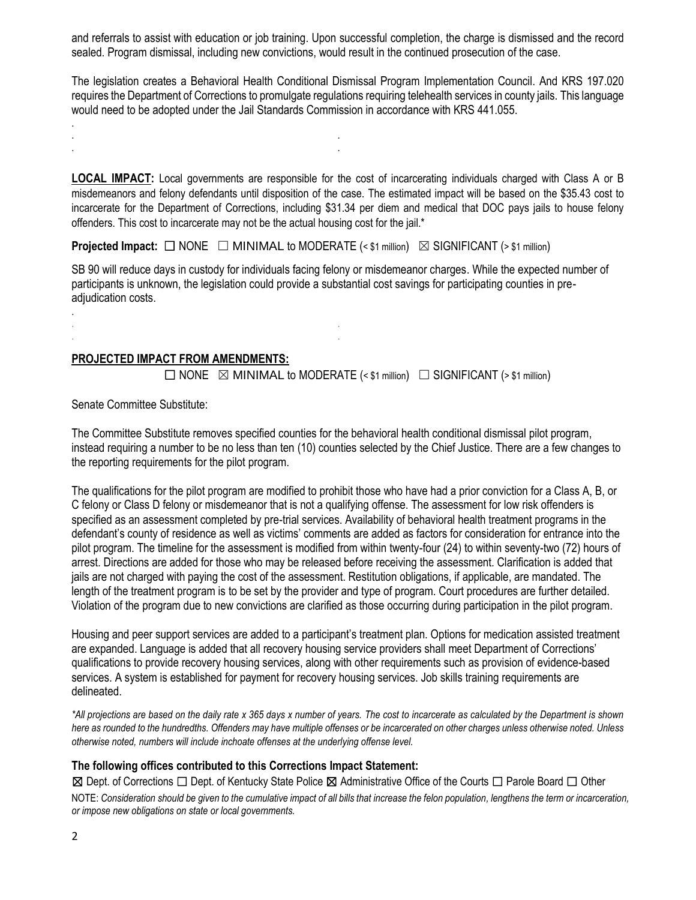and referrals to assist with education or job training. Upon successful completion, the charge is dismissed and the record sealed. Program dismissal, including new convictions, would result in the continued prosecution of the case.

The legislation creates a Behavioral Health Conditional Dismissal Program Implementation Council. And KRS 197.020 requires the Department of Corrections to promulgate regulations requiring telehealth services in county jails. This language would need to be adopted under the Jail Standards Commission in accordance with KRS 441.055.

**LOCAL IMPACT:** Local governments are responsible for the cost of incarcerating individuals charged with Class A or B misdemeanors and felony defendants until disposition of the case. The estimated impact will be based on the \$35.43 cost to incarcerate for the Department of Corrections, including \$31.34 per diem and medical that DOC pays jails to house felony offenders. This cost to incarcerate may not be the actual housing cost for the jail.\*

**Projected Impact:**  $\Box$  NONE  $\Box$  MINIMAL to MODERATE (< \$1 million)  $\boxtimes$  SIGNIFICANT (> \$1 million)

SB 90 will reduce days in custody for individuals facing felony or misdemeanor charges. While the expected number of participants is unknown, the legislation could provide a substantial cost savings for participating counties in preadjudication costs.

#### **PROJECTED IMPACT FROM AMENDMENTS:**

. . . .

. . . .

 $\Box$  NONE  $\boxtimes$  MINIMAL to MODERATE (< \$1 million)  $\Box$  SIGNIFICANT (> \$1 million)

Senate Committee Substitute:

.

.

The Committee Substitute removes specified counties for the behavioral health conditional dismissal pilot program, instead requiring a number to be no less than ten (10) counties selected by the Chief Justice. There are a few changes to the reporting requirements for the pilot program.

The qualifications for the pilot program are modified to prohibit those who have had a prior conviction for a Class A, B, or C felony or Class D felony or misdemeanor that is not a qualifying offense. The assessment for low risk offenders is specified as an assessment completed by pre-trial services. Availability of behavioral health treatment programs in the defendant's county of residence as well as victims' comments are added as factors for consideration for entrance into the pilot program. The timeline for the assessment is modified from within twenty-four (24) to within seventy-two (72) hours of arrest. Directions are added for those who may be released before receiving the assessment. Clarification is added that jails are not charged with paying the cost of the assessment. Restitution obligations, if applicable, are mandated. The length of the treatment program is to be set by the provider and type of program. Court procedures are further detailed. Violation of the program due to new convictions are clarified as those occurring during participation in the pilot program.

Housing and peer support services are added to a participant's treatment plan. Options for medication assisted treatment are expanded. Language is added that all recovery housing service providers shall meet Department of Corrections' qualifications to provide recovery housing services, along with other requirements such as provision of evidence-based services. A system is established for payment for recovery housing services. Job skills training requirements are delineated.

*\*All projections are based on the daily rate x 365 days x number of years. The cost to incarcerate as calculated by the Department is shown here as rounded to the hundredths. Offenders may have multiple offenses or be incarcerated on other charges unless otherwise noted. Unless otherwise noted, numbers will include inchoate offenses at the underlying offense level.*

#### **The following offices contributed to this Corrections Impact Statement:**

⊠ Dept. of Corrections □ Dept. of Kentucky State Police ⊠ Administrative Office of the Courts □ Parole Board □ Other

NOTE: *Consideration should be given to the cumulative impact of all bills that increase the felon population, lengthens the term or incarceration, or impose new obligations on state or local governments.*